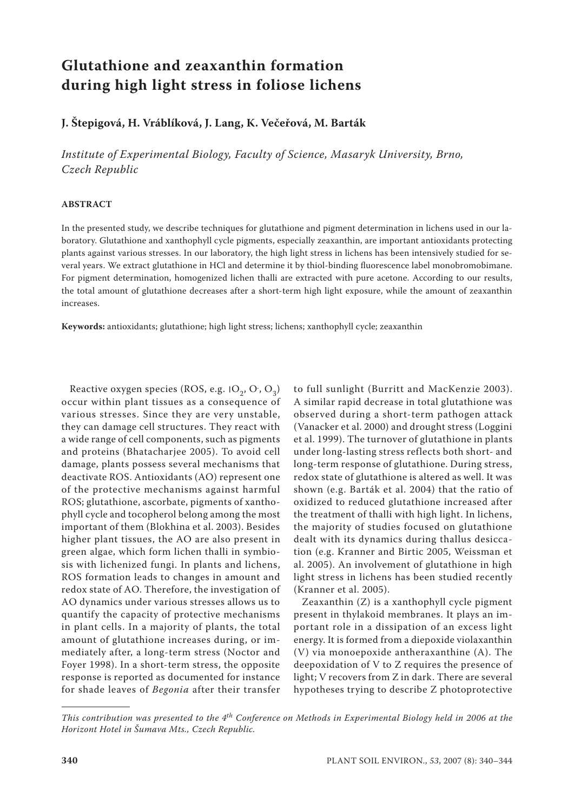# **Glutathione and zeaxanthin formation during high light stress in foliose lichens**

## **J. Štepigová, H. Vráblíková, J. Lang, K. Večeřová, M. Barták**

*Institute of Experimental Biology, Faculty of Science, Masaryk University, Brno, Czech Republic*

#### **ABSTRACT**

In the presented study, we describe techniques for glutathione and pigment determination in lichens used in our laboratory. Glutathione and xanthophyll cycle pigments, especially zeaxanthin, are important antioxidants protecting plants against various stresses. In our laboratory, the high light stress in lichens has been intensively studied for several years. We extract glutathione in HCl and determine it by thiol-binding fluorescence label monobromobimane. For pigment determination, homogenized lichen thalli are extracted with pure acetone. According to our results, the total amount of glutathione decreases after a short-term high light exposure, while the amount of zeaxanthin increases.

**Keywords:** antioxidants; glutathione; high light stress; lichens; xanthophyll cycle; zeaxanthin

Reactive oxygen species (ROS, e.g.  $|O_2, O, O_3\rangle$ occur within plant tissues as a consequence of various stresses. Since they are very unstable, they can damage cell structures. They react with a wide range of cell components, such as pigments and proteins (Bhatacharjee 2005). To avoid cell damage, plants possess several mechanisms that deactivate ROS. Antioxidants (AO) represent one of the protective mechanisms against harmful ROS; glutathione, ascorbate, pigments of xanthophyll cycle and tocopherol belong among the most important of them (Blokhina et al. 2003). Besides higher plant tissues, the AO are also present in green algae, which form lichen thalli in symbiosis with lichenized fungi. In plants and lichens, ROS formation leads to changes in amount and redox state of AO. Therefore, the investigation of AO dynamics under various stresses allows us to quantify the capacity of protective mechanisms in plant cells. In a majority of plants, the total amount of glutathione increases during, or immediately after, a long-term stress (Noctor and Foyer 1998). In a short-term stress, the opposite response is reported as documented for instance for shade leaves of *Begonia* after their transfer

to full sunlight (Burritt and MacKenzie 2003). A similar rapid decrease in total glutathione was observed during a short-term pathogen attack (Vanacker et al. 2000) and drought stress (Loggini et al. 1999). The turnover of glutathione in plants under long-lasting stress reflects both short- and long-term response of glutathione. During stress, redox state of glutathione is altered as well. It was shown (e.g. Barták et al. 2004) that the ratio of oxidized to reduced glutathione increased after the treatment of thalli with high light. In lichens, the majority of studies focused on glutathione dealt with its dynamics during thallus desiccation (e.g. Kranner and Birtic 2005, Weissman et al. 2005). An involvement of glutathione in high light stress in lichens has been studied recently (Kranner et al. 2005).

Zeaxanthin (Z) is a xanthophyll cycle pigment present in thylakoid membranes. It plays an important role in a dissipation of an excess light energy. It is formed from a diepoxide violaxanthin (V) via monoepoxide antheraxanthine (A). The deepoxidation of V to Z requires the presence of light; V recovers from Z in dark. There are several hypotheses trying to describe Z photoprotective

*This contribution was presented to the 4th Conference on Methods in Experimental Biology held in 2006 at the Horizont Hotel in Šumava Mts., Czech Republic.*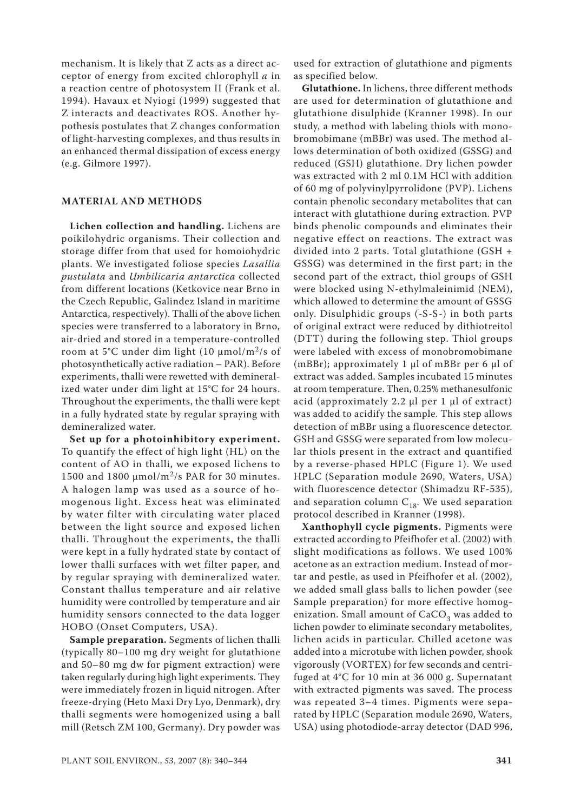mechanism. It is likely that Z acts as a direct acceptor of energy from excited chlorophyll *a* in a reaction centre of photosystem II (Frank et al. 1994). Havaux et Nyiogi (1999) suggested that Z interacts and deactivates ROS. Another hypothesis postulates that Z changes conformation of light-harvesting complexes, and thus results in an enhanced thermal dissipation of excess energy (e.g. Gilmore 1997).

#### **MATERIAL AND METHODS**

**Lichen collection and handling.** Lichens are poikilohydric organisms. Their collection and storage differ from that used for homoiohydric plants. We investigated foliose species *Lasallia pustulata* and *Umbilicaria antarctica* collected from different locations (Ketkovice near Brno in the Czech Republic, Galindez Island in maritime Antarctica, respectively). Thalli of the above lichen species were transferred to a laboratory in Brno, air-dried and stored in a temperature-controlled room at 5°C under dim light (10  $\mu$ mol/m<sup>2</sup>/s of photosynthetically active radiation – PAR). Before experiments, thalli were rewetted with demineralized water under dim light at 15°C for 24 hours. Throughout the experiments, the thalli were kept in a fully hydrated state by regular spraying with demineralized water.

**Set up for a photoinhibitory experiment.**  To quantify the effect of high light (HL) on the content of AO in thalli, we exposed lichens to 1500 and 1800  $\mu$ mol/m<sup>2</sup>/s PAR for 30 minutes. A halogen lamp was used as a source of homogenous light. Excess heat was eliminated by water filter with circulating water placed between the light source and exposed lichen thalli. Throughout the experiments, the thalli were kept in a fully hydrated state by contact of lower thalli surfaces with wet filter paper, and by regular spraying with demineralized water. Constant thallus temperature and air relative humidity were controlled by temperature and air humidity sensors connected to the data logger HOBO (Onset Computers, USA).

**Sample preparation.** Segments of lichen thalli (typically 80–100 mg dry weight for glutathione and 50–80 mg dw for pigment extraction) were taken regularly during high light experiments. They were immediately frozen in liquid nitrogen. After freeze-drying (Heto Maxi Dry Lyo, Denmark), dry thalli segments were homogenized using a ball mill (Retsch ZM 100, Germany). Dry powder was

used for extraction of glutathione and pigments as specified below.

**Glutathione.** In lichens, three different methods are used for determination of glutathione and glutathione disulphide (Kranner 1998). In our study, a method with labeling thiols with monobromobimane (mBBr) was used. The method allows determination of both oxidized (GSSG) and reduced (GSH) glutathione. Dry lichen powder was extracted with 2 ml 0.1M HCl with addition of 60 mg of polyvinylpyrrolidone (PVP). Lichens contain phenolic secondary metabolites that can interact with glutathione during extraction. PVP binds phenolic compounds and eliminates their negative effect on reactions. The extract was divided into 2 parts. Total glutathione (GSH + GSSG) was determined in the first part; in the second part of the extract, thiol groups of GSH were blocked using N-ethylmaleinimid (NEM), which allowed to determine the amount of GSSG only. Disulphidic groups (-S-S-) in both parts of original extract were reduced by dithiotreitol (DTT) during the following step. Thiol groups were labeled with excess of monobromobimane (mBBr); approximately 1  $\mu$ l of mBBr per 6  $\mu$ l of extract was added. Samples incubated 15 minutes at room temperature. Then, 0.25% methanesulfonic acid (approximately  $2.2 \mu l$  per 1  $\mu l$  of extract) was added to acidify the sample. This step allows detection of mBBr using a fluorescence detector. GSH and GSSG were separated from low molecular thiols present in the extract and quantified by a reverse-phased HPLC (Figure 1). We used HPLC (Separation module 2690, Waters, USA) with fluorescence detector (Shimadzu RF-535), and separation column  $C_{18}$ . We used separation protocol described in Kranner (1998).

**Xanthophyll cycle pigments.** Pigments were extracted according to Pfeifhofer et al. (2002) with slight modifications as follows. We used 100% acetone as an extraction medium. Instead of mortar and pestle, as used in Pfeifhofer et al. (2002), we added small glass balls to lichen powder (see Sample preparation) for more effective homogenization. Small amount of  $CaCO<sub>3</sub>$  was added to lichen powder to eliminate secondary metabolites, lichen acids in particular. Chilled acetone was added into a microtube with lichen powder, shook vigorously (VORTEX) for few seconds and centrifuged at 4°C for 10 min at 36 000 g. Supernatant with extracted pigments was saved. The process was repeated 3–4 times. Pigments were separated by HPLC (Separation module 2690, Waters, USA) using photodiode-array detector (DAD 996,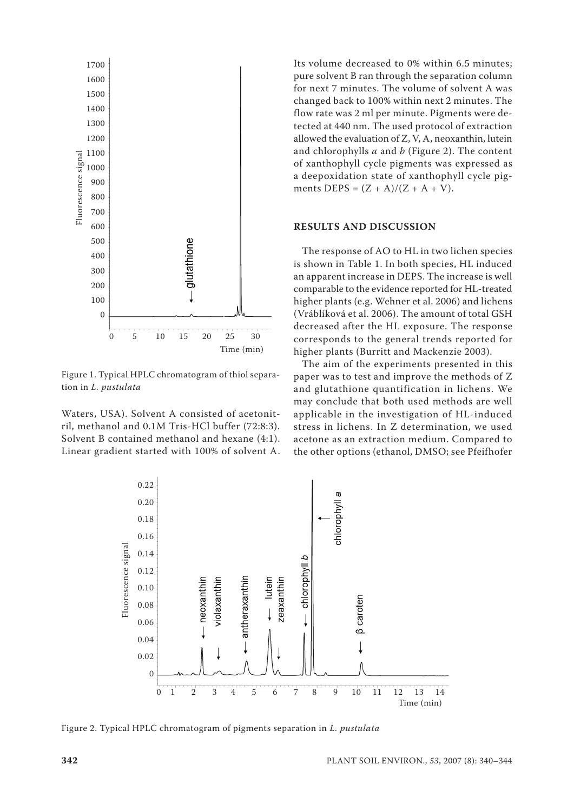

Figure 1. Typical HPLC chromatogram of thiol separation in *L. pustulata*

Waters, USA). Solvent A consisted of acetonitril, methanol and 0.1M Tris-HCl buffer (72:8:3). Solvent B contained methanol and hexane (4:1). Linear gradient started with 100% of solvent A. Its volume decreased to 0% within 6.5 minutes; pure solvent B ran through the separation column for next 7 minutes. The volume of solvent A was changed back to 100% within next 2 minutes. The flow rate was 2 ml per minute. Pigments were detected at 440 nm. The used protocol of extraction allowed the evaluation of Z, V, A, neoxanthin, lutein and chlorophylls *a* and *b* (Figure 2). The content of xanthophyll cycle pigments was expressed as a deepoxidation state of xanthophyll cycle pigments  $DEPS = (Z + A)/(Z + A + V)$ .

#### **RESULTS AND DISCUSSION**

The response of AO to HL in two lichen species is shown in Table 1. In both species, HL induced an apparent increase in DEPS. The increase is well comparable to the evidence reported for HL-treated higher plants (e.g. Wehner et al. 2006) and lichens (Vráblíková et al. 2006). The amount of total GSH decreased after the HL exposure. The response corresponds to the general trends reported for higher plants (Burritt and Mackenzie 2003).

The aim of the experiments presented in this paper was to test and improve the methods of Z and glutathione quantification in lichens. We may conclude that both used methods are well applicable in the investigation of HL-induced stress in lichens. In Z determination, we used acetone as an extraction medium. Compared to the other options (ethanol, DMSO; see Pfeifhofer



Figure 2. Typical HPLC chromatogram of pigments separation in *L. pustulata*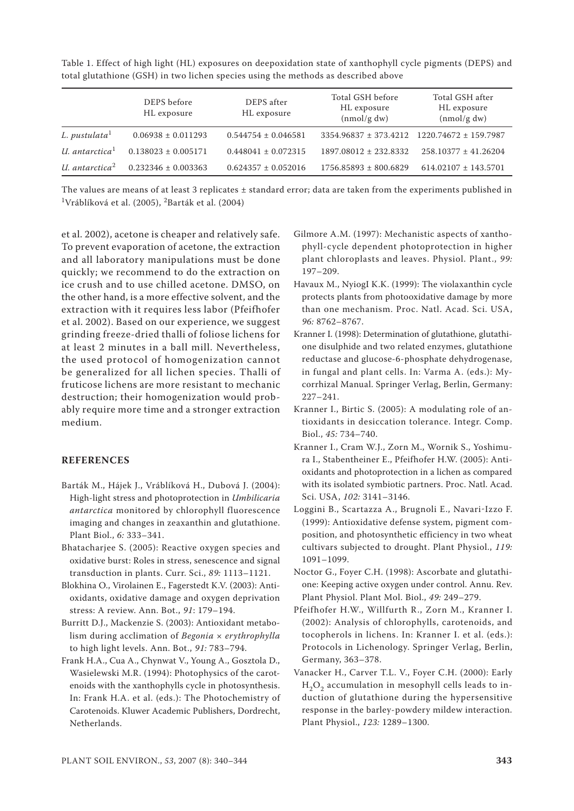|                            | DEPS before<br>HL exposure | DEPS after<br>HL exposure | Total GSH before<br>HL exposure<br>(nmol/g dw)      | Total GSH after<br>HL exposure<br>(nmol/g dw) |
|----------------------------|----------------------------|---------------------------|-----------------------------------------------------|-----------------------------------------------|
| $L.$ pustulata $1$         | $0.06938 \pm 0.011293$     | $0.544754 \pm 0.046581$   | $3354.96837 \pm 373.4212$ $1220.74672 \pm 159.7987$ |                                               |
| U. antarctica <sup>1</sup> | $0.138023 \pm 0.005171$    | $0.448041 \pm 0.072315$   | $1897.08012 \pm 232.8332$                           | $258.10377 \pm 41.26204$                      |
| U. antarctica $^2$         | $0.232346 \pm 0.003363$    | $0.624357 \pm 0.052016$   | $1756.85893 \pm 800.6829$                           | $614.02107 \pm 143.5701$                      |

Table 1. Effect of high light (HL) exposures on deepoxidation state of xanthophyll cycle pigments (DEPS) and total glutathione (GSH) in two lichen species using the methods as described above

The values are means of at least 3 replicates  $\pm$  standard error; data are taken from the experiments published in 1Vráblíková et al. (2005), 2Barták et al. (2004)

et al. 2002), acetone is cheaper and relatively safe. To prevent evaporation of acetone, the extraction and all laboratory manipulations must be done quickly; we recommend to do the extraction on ice crush and to use chilled acetone. DMSO, on the other hand, is a more effective solvent, and the extraction with it requires less labor (Pfeifhofer et al. 2002). Based on our experience, we suggest grinding freeze-dried thalli of foliose lichens for at least 2 minutes in a ball mill. Nevertheless, the used protocol of homogenization cannot be generalized for all lichen species. Thalli of fruticose lichens are more resistant to mechanic destruction; their homogenization would probably require more time and a stronger extraction medium.

### **REFERENCES**

- Barták M., Hájek J., Vráblíková H., Dubová J. (2004): High-light stress and photoprotection in *Umbilicaria antarctica* monitored by chlorophyll fluorescence imaging and changes in zeaxanthin and glutathione. Plant Biol., *6:* 333–341.
- Bhatacharjee S. (2005): Reactive oxygen species and oxidative burst: Roles in stress, senescence and signal transduction in plants. Curr. Sci., *89:* 1113–1121.
- Blokhina O., Virolainen E., Fagerstedt K.V. (2003): Antioxidants, oxidative damage and oxygen deprivation stress: A review. Ann. Bot., *91*: 179–194.
- Burritt D.J., Mackenzie S. (2003): Antioxidant metabolism during acclimation of *Begonia* × *erythrophylla* to high light levels. Ann. Bot., *91:* 783–794.
- Frank H.A., Cua A., Chynwat V., Young A., Gosztola D., Wasielewski M.R. (1994): Photophysics of the carotenoids with the xanthophylls cycle in photosynthesis. In: Frank H.A. et al. (eds.): The Photochemistry of Carotenoids. Kluwer Academic Publishers, Dordrecht, Netherlands.
- Gilmore A.M. (1997): Mechanistic aspects of xanthophyll-cycle dependent photoprotection in higher plant chloroplasts and leaves. Physiol. Plant., *99:* 197–209.
- Havaux M., NyiogI K.K. (1999): The violaxanthin cycle protects plants from photooxidative damage by more than one mechanism. Proc. Natl. Acad. Sci. USA, *96:* 8762–8767.
- Kranner I. (1998): Determination of glutathione, glutathione disulphide and two related enzymes, glutathione reductase and glucose-6-phosphate dehydrogenase, in fungal and plant cells. In: Varma A. (eds.): Mycorrhizal Manual. Springer Verlag, Berlin, Germany: 227–241.
- Kranner I., Birtic S. (2005): A modulating role of antioxidants in desiccation tolerance. Integr. Comp. Biol., *45:* 734–740.
- Kranner I., Cram W.J., Zorn M., Wornik S., Yoshimura I., Stabentheiner E., Pfeifhofer H.W. (2005): Antioxidants and photoprotection in a lichen as compared with its isolated symbiotic partners. Proc. Natl. Acad. Sci. USA, *102:* 3141–3146.
- Loggini B., Scartazza A., Brugnoli E., Navari-Izzo F. (1999): Antioxidative defense system, pigment composition, and photosynthetic efficiency in two wheat cultivars subjected to drought. Plant Physiol., *119:* 1091–1099.
- Noctor G., Foyer C.H. (1998): Ascorbate and glutathione: Keeping active oxygen under control. Annu. Rev. Plant Physiol. Plant Mol. Biol., *49:* 249–279.
- Pfeifhofer H.W., Willfurth R., Zorn M., Kranner I. (2002): Analysis of chlorophylls, carotenoids, and tocopherols in lichens. In: Kranner I. et al. (eds.): Protocols in Lichenology. Springer Verlag, Berlin, Germany, 363–378.
- Vanacker H., Carver T.L. V., Foyer C.H. (2000): Early  $H<sub>2</sub>O<sub>2</sub>$  accumulation in mesophyll cells leads to induction of glutathione during the hypersensitive response in the barley-powdery mildew interaction. Plant Physiol., *123:* 1289–1300.